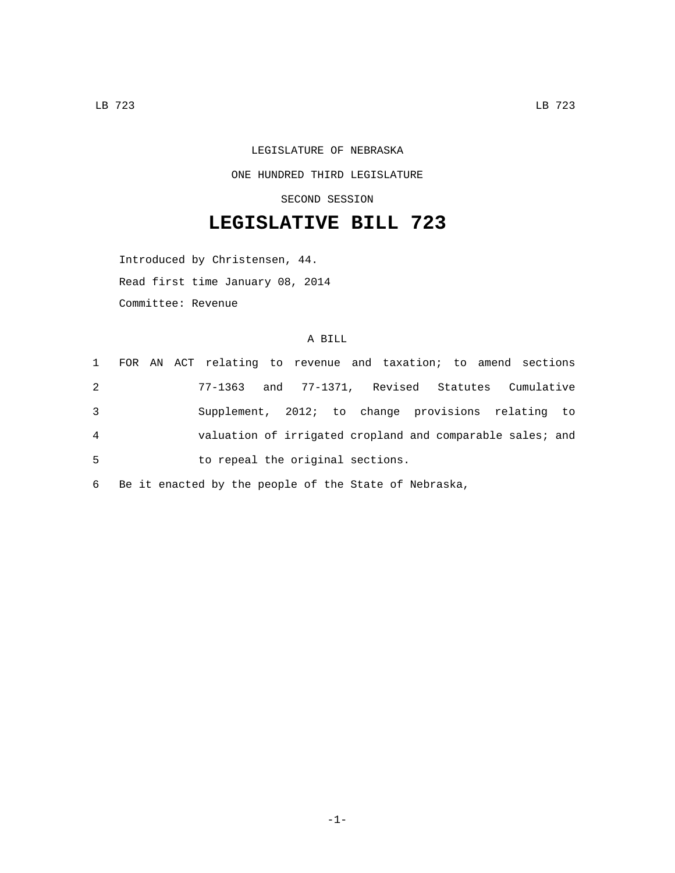LEGISLATURE OF NEBRASKA ONE HUNDRED THIRD LEGISLATURE SECOND SESSION

## **LEGISLATIVE BILL 723**

Introduced by Christensen, 44. Read first time January 08, 2014 Committee: Revenue

## A BILL

|   |  | 1 FOR AN ACT relating to revenue and taxation; to amend sections |  |  |  |  |  |
|---|--|------------------------------------------------------------------|--|--|--|--|--|
| 2 |  | 77-1363 and 77-1371, Revised Statutes Cumulative                 |  |  |  |  |  |
| 3 |  | Supplement, 2012; to change provisions relating to               |  |  |  |  |  |
| 4 |  | valuation of irrigated cropland and comparable sales; and        |  |  |  |  |  |
| 5 |  | to repeal the original sections.                                 |  |  |  |  |  |

6 Be it enacted by the people of the State of Nebraska,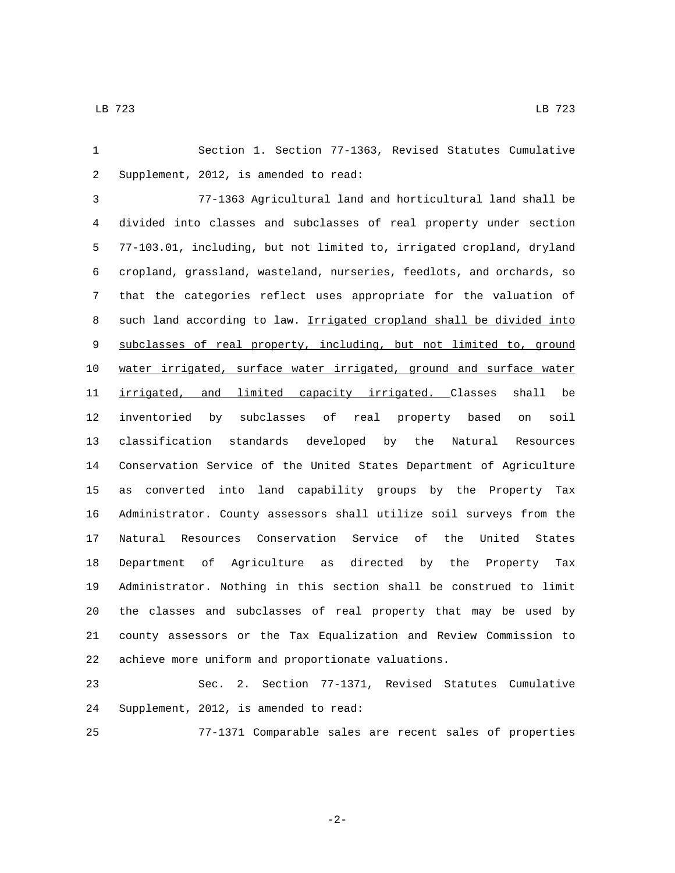Section 1. Section 77-1363, Revised Statutes Cumulative 2 Supplement, 2012, is amended to read:

 77-1363 Agricultural land and horticultural land shall be divided into classes and subclasses of real property under section 77-103.01, including, but not limited to, irrigated cropland, dryland cropland, grassland, wasteland, nurseries, feedlots, and orchards, so that the categories reflect uses appropriate for the valuation of 8 such land according to law. Irrigated cropland shall be divided into subclasses of real property, including, but not limited to, ground water irrigated, surface water irrigated, ground and surface water 11 <u>irrigated, and limited capacity irrigated. C</u>lasses shall be inventoried by subclasses of real property based on soil classification standards developed by the Natural Resources Conservation Service of the United States Department of Agriculture as converted into land capability groups by the Property Tax Administrator. County assessors shall utilize soil surveys from the Natural Resources Conservation Service of the United States Department of Agriculture as directed by the Property Tax Administrator. Nothing in this section shall be construed to limit the classes and subclasses of real property that may be used by county assessors or the Tax Equalization and Review Commission to achieve more uniform and proportionate valuations.

 Sec. 2. Section 77-1371, Revised Statutes Cumulative 24 Supplement, 2012, is amended to read:

77-1371 Comparable sales are recent sales of properties

-2-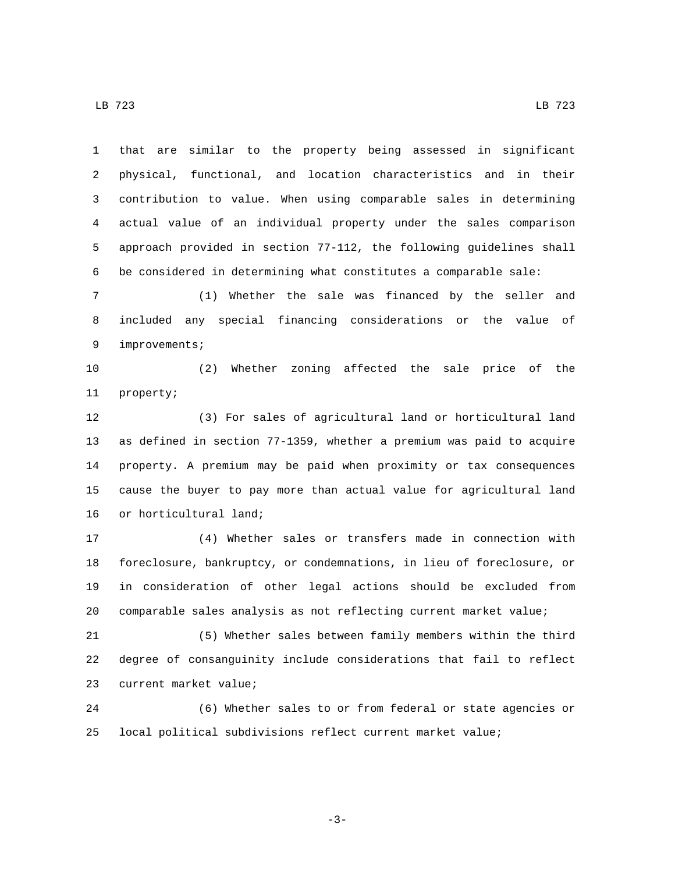LB 723 LB 723

 that are similar to the property being assessed in significant physical, functional, and location characteristics and in their contribution to value. When using comparable sales in determining actual value of an individual property under the sales comparison approach provided in section 77-112, the following guidelines shall be considered in determining what constitutes a comparable sale:

 (1) Whether the sale was financed by the seller and included any special financing considerations or the value of 9 improvements;

 (2) Whether zoning affected the sale price of the 11 property;

 (3) For sales of agricultural land or horticultural land as defined in section 77-1359, whether a premium was paid to acquire property. A premium may be paid when proximity or tax consequences cause the buyer to pay more than actual value for agricultural land 16 or horticultural land;

 (4) Whether sales or transfers made in connection with foreclosure, bankruptcy, or condemnations, in lieu of foreclosure, or in consideration of other legal actions should be excluded from comparable sales analysis as not reflecting current market value;

 (5) Whether sales between family members within the third degree of consanguinity include considerations that fail to reflect 23 current market value;

 (6) Whether sales to or from federal or state agencies or local political subdivisions reflect current market value;

-3-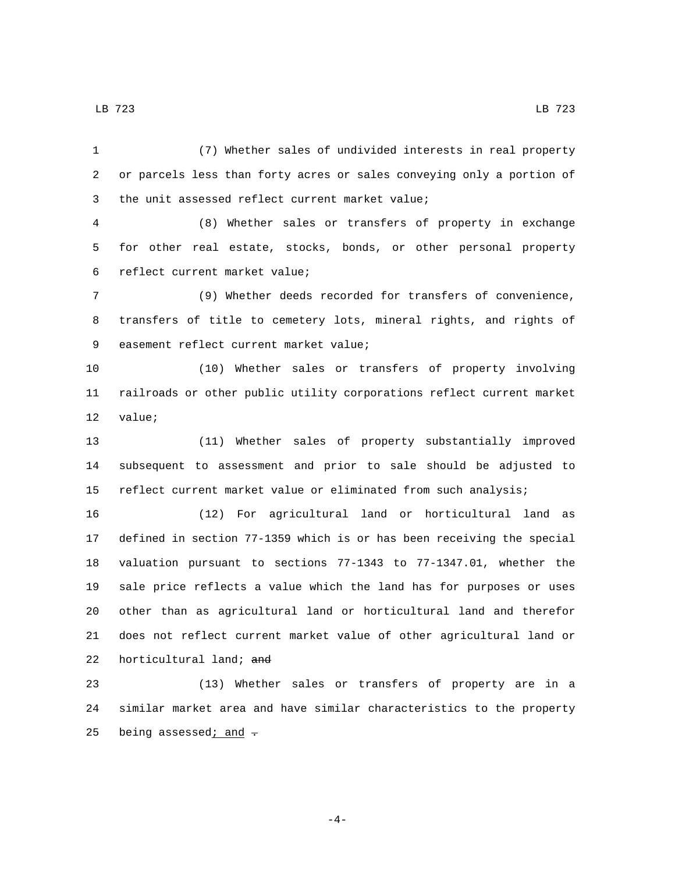(7) Whether sales of undivided interests in real property or parcels less than forty acres or sales conveying only a portion of 3 the unit assessed reflect current market value;

 (8) Whether sales or transfers of property in exchange for other real estate, stocks, bonds, or other personal property 6 reflect current market value;

 (9) Whether deeds recorded for transfers of convenience, transfers of title to cemetery lots, mineral rights, and rights of 9 easement reflect current market value;

 (10) Whether sales or transfers of property involving railroads or other public utility corporations reflect current market 12 value;

 (11) Whether sales of property substantially improved subsequent to assessment and prior to sale should be adjusted to reflect current market value or eliminated from such analysis;

 (12) For agricultural land or horticultural land as defined in section 77-1359 which is or has been receiving the special valuation pursuant to sections 77-1343 to 77-1347.01, whether the sale price reflects a value which the land has for purposes or uses other than as agricultural land or horticultural land and therefor does not reflect current market value of other agricultural land or 22 horticultural land;  $\frac{1}{2}$ 

 (13) Whether sales or transfers of property are in a similar market area and have similar characteristics to the property 25 being assessed; and  $\overline{\cdot}$ 

-4-